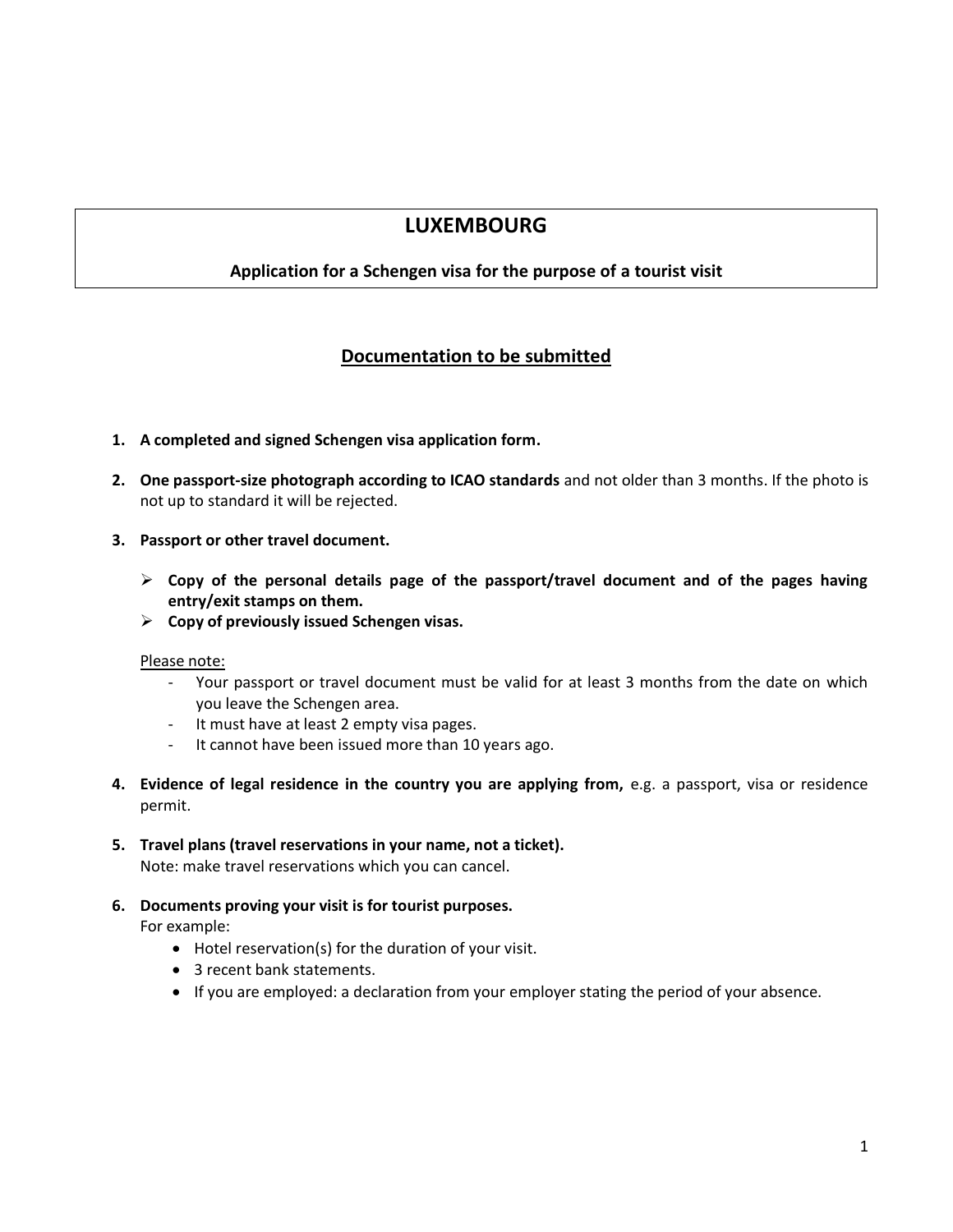# **LUXEMBOURG**

## **Application for a Schengen visa for the purpose of a tourist visit**

# **Documentation to be submitted**

- **1. A completed and signed Schengen visa application form.**
- **2. One passport-size photograph according to ICAO standards** and not older than 3 months. If the photo is not up to standard it will be rejected.
- **3. Passport or other travel document.**
	- **Copy of the personal details page of the passport/travel document and of the pages having entry/exit stamps on them.**
	- **Copy of previously issued Schengen visas.**

#### Please note:

- Your passport or travel document must be valid for at least 3 months from the date on which you leave the Schengen area.
- It must have at least 2 empty visa pages.
- It cannot have been issued more than 10 years ago.
- **4. Evidence of legal residence in the country you are applying from,** e.g. a passport, visa or residence permit.
- **5. Travel plans (travel reservations in your name, not a ticket).** Note: make travel reservations which you can cancel.
	-
- **6. Documents proving your visit is for tourist purposes.**

For example:

- Hotel reservation(s) for the duration of your visit.
- 3 recent bank statements.
- If you are employed: a declaration from your employer stating the period of your absence.